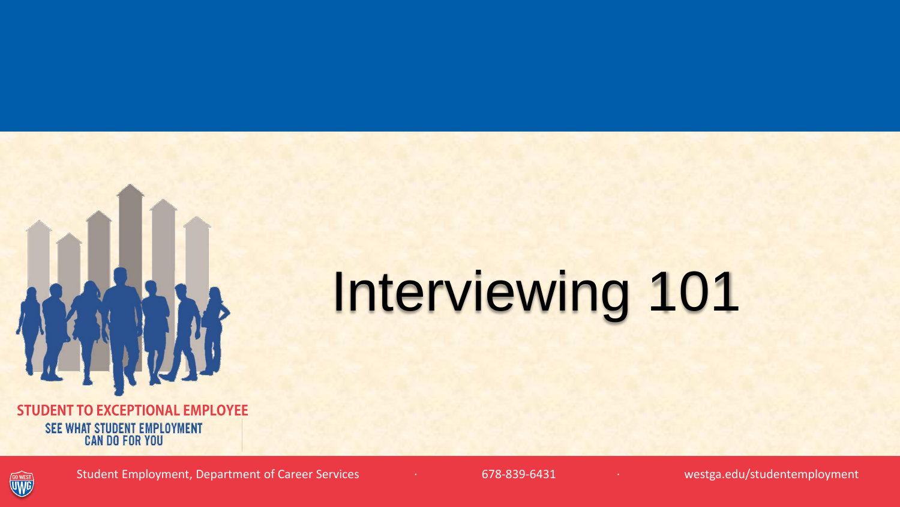

**STUDENT TO EXCEPTIONAL EMPLOYEE** SEE WHAT STUDENT EMPLOYMENT **CAN DO FOR YOU** 

# Interviewing 101



Student Employment, Department of Career Services · · · · · · · · · 678-839-6431 · · · · · · · · · · · westga.edu/studentemployment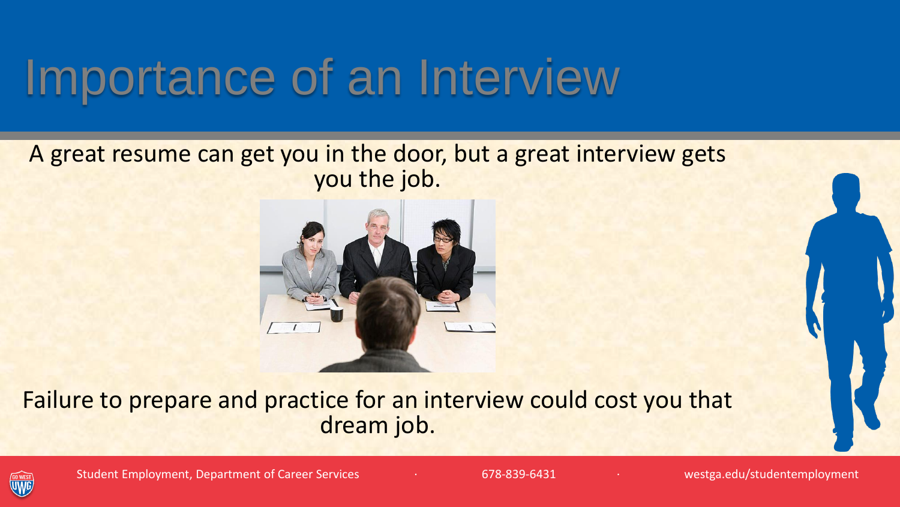## Importance of an Interview

#### A great resume can get you in the door, but a great interview gets you the job.



Failure to prepare and practice for an interview could cost you that dream job.

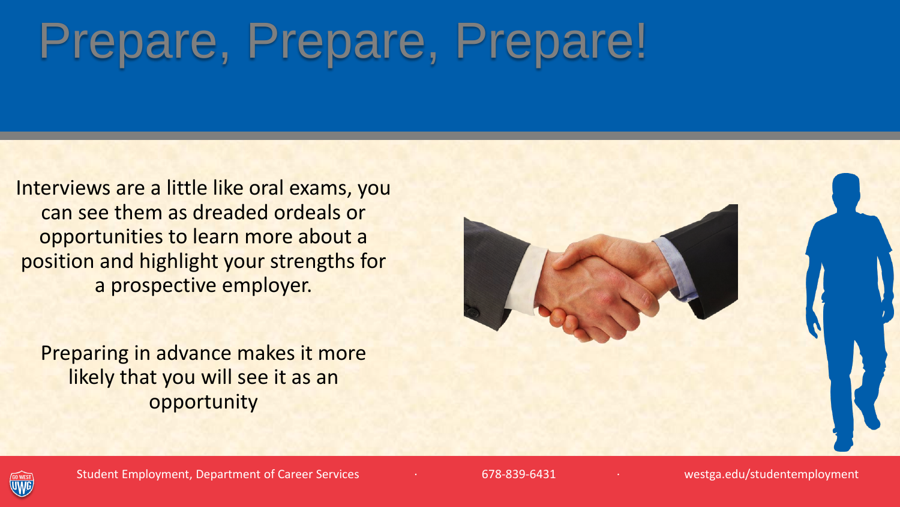# Prepare, Prepare, Prepare!

Interviews are a little like oral exams, you can see them as dreaded ordeals or opportunities to learn more about a position and highlight your strengths for a prospective employer.

Preparing in advance makes it more likely that you will see it as an opportunity



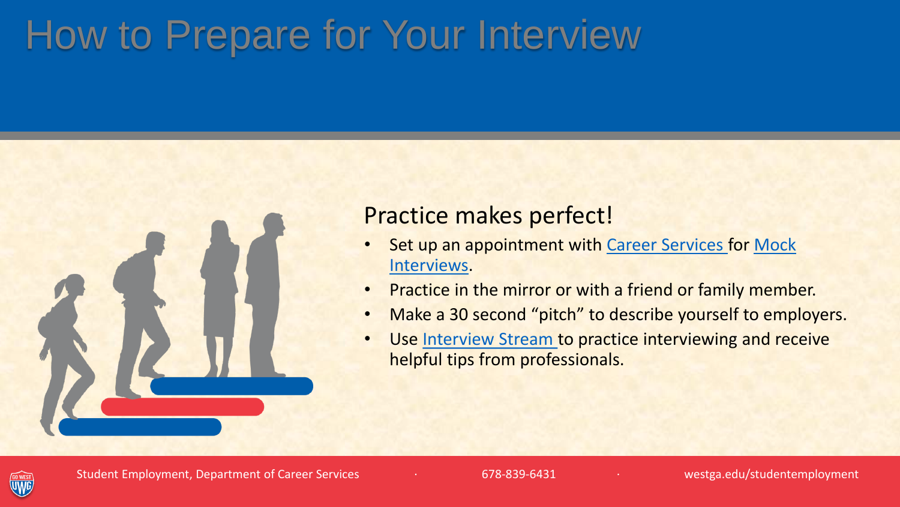### How to Prepare for Your Interview

#### Practice makes perfect!

- [Set up an appointment with Career Services for Mock](http://www.westga.edu/careerservices/3823.php) Interviews.
- Practice in the mirror or with a friend or family member.
- Make a 30 second "pitch" to describe yourself to employers.
- Use [Interview Stream t](http://www.westga.edu/careerservices/6592.php)o practice interviewing and receive helpful tips from professionals.

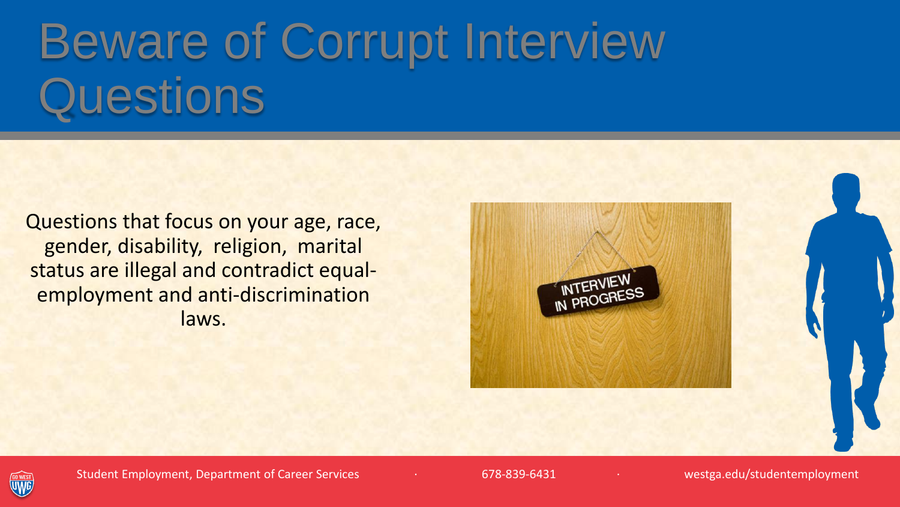# Beware of Corrupt Interview **Questions**

Questions that focus on your age, race, gender, disability, religion, marital status are illegal and contradict equalemployment and anti-discrimination laws.